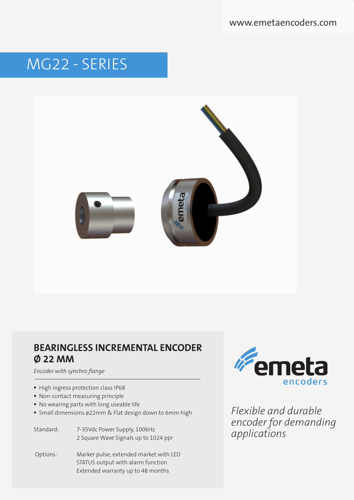www.emetaencoders.com

# MG22 - SERIES



## **BEARINGLESS INCREMENTAL ENCODER Ø 22 MM**

*Encoder with synchro flange*

- High ingress protection class IP68
- Non-contact measuring principle
- No wearing parts with long useable life
- Small dimensions ø22mm & Flat design down to 6mm high

Standard: 7-35Vdc Power Supply, 100kHz 2 Square Wave Signals up to 1024 ppr

 Options: Marker pulse, extended market with LED STATUS output with alarm function Extended warranty up to 48 months



*Flexible and durable encoder for demanding applications*